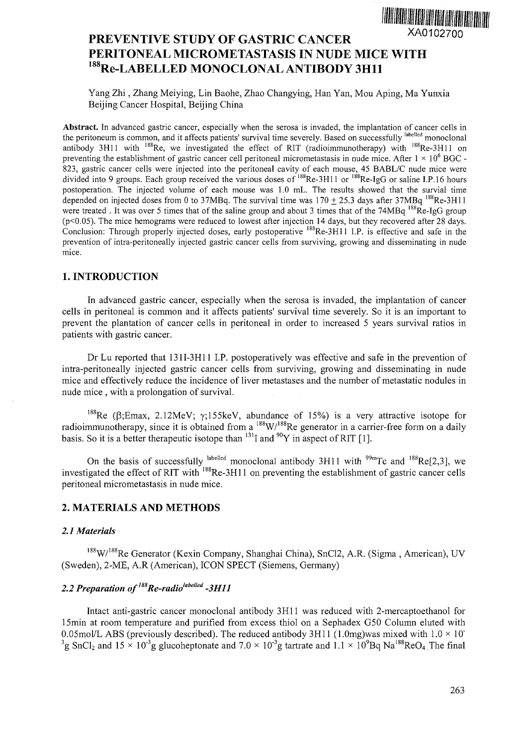

# PREVENTIVE STUDY OF GASTRIC CANCER PERITONEAL MICROMETASTASIS IN NUDE MICE WITH <sup>188</sup>Re-LABELLED MONOCLONAL ANTIBODY 3H11

Yang Zhi, Zhang Meiying, Lin Baohe, Zhao Changying, Han Yan, Mou Aping, Ma Yunxia Beijing Cancer Hospital, Beijing China

Abstract. In advanced gastric cancer, especially when the serosa is invaded, the implantation of cancer cells in the peritoneum is common, and it affects patients' survival time severely. Based on successfully <sup>labelled</sup> monoclonal antibody 3H11 with <sup>188</sup>Re, we investigated the effect of RIT (radioimmunotherapy) with <sup>188</sup>Re-3H11 or preventing the establishment of gastric cancer cell peritoneal micrometastasis in nude mice. After  $1 \times 10^6$  BGC -823, gastric cancer cells were injected into the peritoneal cavity of each mouse, 45 BABL/C nude mice were divided into 9 groups. Each group received the various doses of <sup>188</sup>Re-3H11 or <sup>188</sup>Re-IgG or saline I.P.16 hours postoperation. The injected volume of each mouse was 1.0 mL. The results showed that the survial time depended on injected doses from 0 to 37MBq. The survival time was  $170 + 25.3$  days after 37MBq  $^{188}$ Re-3H11 were treated. It was over 5 times that of the saline group and about 3 times that of the 74MBq  $^{188}$ Re-IgG group (p<0.05). The mice hemograms were reduced to lowest after injection 14 days, but they recovered after 28 days. Conclusion: Through properly injected doses, early postoperative  $^{188}$ Re-3H11 I.P. is effective and safe in the prevention of intra-peritoneally injected gastric cancer cells from surviving, growing and disseminating in nude mice.

### 1. INTRODUCTION

In advanced gastric cancer, especially when the serosa is invaded, the implantation of cancer cells in peritoneal is common and it affects patients' survival time severely. So it is an important to prevent the plantation of cancer cells in peritoneal in order to increased 5 years survival ratios in patients with gastric cancer.

Dr Lu reported that 131I-3H11 I.P. postoperatively was effective and safe in the prevention of intra-peritoneally injected gastric cancer cells from surviving, growing and disseminating in nude mice and effectively reduce the incidence of liver metastases and the number of metastatic nodules in nude mice , with a prolongation of survival.

<sup>188</sup>Re ( $\beta$ ; Emax, 2.12MeV;  $\gamma$ ; 155keV, abundance of 15%) is a very attractive isotope for radioimmunotherapy, since it is obtained from a  $^{188}$ W/<sup>188</sup>Re generator in a carrier-free form on a daily basis. So it is a better therapeutic isotope than  $11$  and  $11$  in aspect of RIT [1].

On the basis of successfully  $\text{labeled}$  monoclonal antibody 3H11 with  $\text{P}_{\text{2}}^{\text{90m}}$ Tc and  $\text{188Re}[2,3]$ , we investigated the effect of RIT with <sup>188</sup>Re-3H11 on preventing the establishment of gastric cancer cells peritoneal micrometastasis in nude mice.

#### **2. MATERIALS AND METHODS**

#### *2.1 Materials*

<sup>188</sup>W/<sup>188</sup>Re Generator (Kexin Company, Shanghai China), SnCl2, A.R. (Sigma, American), UV (Sweden), 2-ME, A.R (American), ICON SPECT (Siemens, Germany)

# *2.2 Preparation of<sup>m</sup>Re-radio"">e" ed -3H11*

Intact anti-gastric cancer monoclonal antibody 3H11 was reduced with 2-mercaptoethanol for 15min at room temperature and purified from excess thiol on a Sephadex G50 Column eluted with 0.05mol/L ABS (previously described). The reduced antibody 3H11 (1.0mg) was mixed with  $1.0 \times 10^{-1}$ <sup>3</sup>g SnCl<sub>2</sub> and 15  $\times$  10<sup>-3</sup>g glucoheptonate and 7.0  $\times$  10<sup>-3</sup>g tartrate and 1.1  $\times$  10<sup>9</sup>Bq Na<sup>188</sup>ReO<sub>4</sub>. The final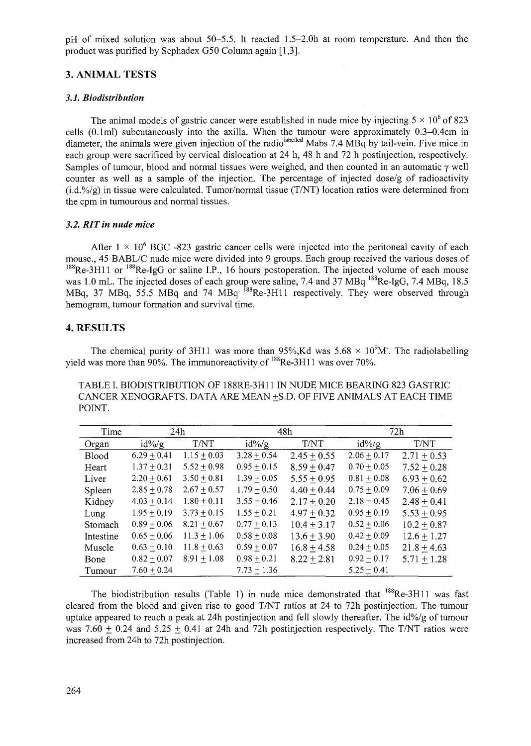pH of mixed solution was about 50-5.5. It reacted 1.5-2.0h at room temperature. And then the product was purified by Sephadex G50 Column again [1,3].

# **3. ANIMAL TESTS**

## *3.1. Biodistribution*

The animal models of gastric cancer were established in nude mice by injecting  $5 \times 10^6$  of 823 cells (0.1ml) subcutaneously into the axilla. When the tumour were approximately 0.3-0.4cm in diameter, the animals were given injection of the radio<sup>labelled</sup> Mabs 7.4 MBq by tail-vein. Five mice in each group were sacrificed by cervical dislocation at 24 h, 48 h and 72 h postinjection, respectively. Samples of tumour, blood and normal tissues were weighed, and then counted in an automatic  $\gamma$  well counter as well as a sample of the injection. The percentage of injected dose/g of radioactivity  $(i.d.^{9}/g)$  in tissue were calculated. Tumor/normal tissue (T/NT) location ratios were determined from the cpm in tumourous and normal tissues.

## *3.2. RITin nude mice*

After  $1 \times 10^6$  BGC -823 gastric cancer cells were injected into the peritoneal cavity of each mouse., 45 BABL/C nude mice were divided into 9 groups. Each group received the various doses of  $188$ Re-3H11 or  $188$ Re-IgG or saline I.P., 16 hours postoperation. The injected volume of each mouse was 1.0 mL. The injected doses of each group were saline, 7.4 and 37 MBq <sup>188</sup>Re-IgG, 7.4 MBq, 18.5 MBq, 37 MBq, 55.5 MBq and 74 MBq <sup>188</sup>Re-3H11 respectively. They were observed through hemogram, tumour formation and survival time.

# **4. RESULTS**

The chemical purity of 3H11 was more than 95%, Kd was  $5.68 \times 10^{9}$ M. The radiolabelling yield was more than 90%. The immunoreactivity of  $^{188}$ Re-3H11 was over 70%.

TABLE I. BIODISTRIBUTION OF 188RE-3H11 IN NUDE MICE BEARING 823 GASTRIC CANCER XENOGRAFTS. DATA ARE MEAN +S.D. OF FIVE ANIMALS AT EACH TIME POINT.

| Time      | 24h             |                 | 48h             |                 | 72h             |               |
|-----------|-----------------|-----------------|-----------------|-----------------|-----------------|---------------|
| Organ     | $id\%$ /g       | T/NT            | $id\%$ /g       | T/NT            | $id\%$ /g       | T/NT          |
| Blood     | $6.29 \pm 0.41$ | $1.15 \pm 0.03$ | $3.28 \pm 0.54$ | $2.45 + 0.55$   | $2.06 \pm 0.17$ | $2.71 + 0.53$ |
| Heart     | $1.37 \pm 0.21$ | $5.52 + 0.98$   | $0.95 \pm 0.15$ | $8.59 + 0.47$   | $0.70 \pm 0.05$ | $7.52 + 0.28$ |
| Liver     | $2.20 \pm 0.61$ | $3.50 \pm 0.81$ | $1.39 \pm 0.05$ | $5.55 + 0.95$   | $0.81 \pm 0.08$ | $6.93 + 0.62$ |
| Spleen    | $2.85 \pm 0.78$ | $2.67 \pm 0.57$ | $1.79 + 0.50$   | $4.40 + 0.44$   | $0.75 \pm 0.09$ | $7.06 + 0.69$ |
| Kidney    | $4.03 \pm 0.14$ | $1.80 \pm 0.11$ | $3.55 \pm 0.46$ | $2.17 + 0.20$   | $2.18 \pm 0.45$ | $2.48 + 0.41$ |
| Lung      | $1.95 \pm 0.19$ | $3.73 \pm 0.15$ | $1.55 \pm 0.21$ | $4.97 + 0.32$   | $0.95 \pm 0.19$ | $5.53 + 0.95$ |
| Stomach   | $0.89 \pm 0.06$ | $8.21 \pm 0.67$ | $0.77 \pm 0.13$ | $10.4 \pm 3.17$ | $0.52 \pm 0.06$ | $10.2 + 0.87$ |
| Intestine | $0.65 \pm 0.06$ | $11.3 \pm 1.06$ | $0.58 + 0.08$   | $13.6 + 3.90$   | $0.42 \pm 0.09$ | $12.6 + 1.27$ |
| Muscle    | $0.63 \pm 0.10$ | $11.8 \pm 0.63$ | $0.59 \pm 0.07$ | $16.8 + 4.58$   | $0.24 \pm 0.05$ | $21.8 + 4.63$ |
| Bone      | $0.82 \pm 0.07$ | $8.91 \pm 1.08$ | $0.98 \pm 0.21$ | $8.22 + 2.81$   | $0.92 \pm 0.17$ | $5.71 + 1.28$ |
| Tumour    | $7.60 + 0.24$   |                 | $7.73 \pm 1.36$ |                 | $5.25 \pm 0.41$ |               |

The biodistribution results (Table 1) in nude mice demonstrated that <sup>188</sup>Re-3H11 was fast cleared from the blood and given rise to good T/NT ratios at 24 to 72h postinjection. The tumour uptake appeared to reach a peak at 24h postinjection and fell slowly thereafter. The id%/g of tumour was 7.60  $\pm$  0.24 and 5.25  $\pm$  0.41 at 24h and 72h postinjection respectively. The T/NT ratios were increased from 24h to 72h postinjection.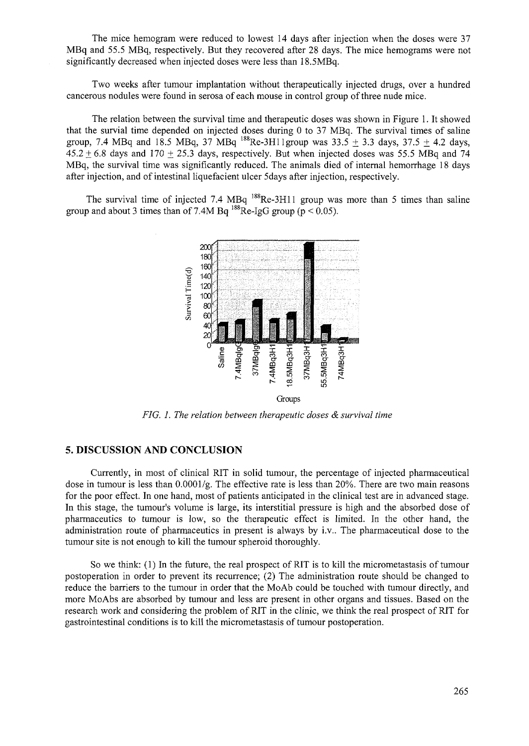The mice hemogram were reduced to lowest 14 days after injection when the doses were 37 MBq and 55.5 MBq, respectively. But they recovered after 28 days. The mice hemograms were not significantly decreased when injected doses were less than 18.5MBq.

Two weeks after tumour implantation without therapeutically injected drugs, over a hundred cancerous nodules were found in serosa of each mouse in control group of three nude mice.

The relation between the survival time and therapeutic doses was shown in Figure 1. It showed that the survial time depended on injected doses during 0 to 37 MBq. The survival times of saline group, 7.4 MBq and 18.5 MBq, 37 MBq  $^{188}$ Re-3H11 group was 33.5  $\pm$  3.3 days, 37.5  $\pm$  4.2 days,  $45.2 + 6.8$  days and  $170 + 25.3$  days, respectively. But when injected doses was 55.5 MBq and 74 MBq, the survival time was significantly reduced. The animals died of internal hemorrhage 18 days after injection, and of intestinal liquefacient ulcer 5days after injection, respectively.

The survival time of injected 7.4 MBq  $^{188}$ Re-3H11 group was more than 5 times than saline group and about 3 times than of 7.4M Bq  $^{188}$ Re-IgG group (p < 0.05).



*FIG. 1. The relation between therapeutic doses & survival time*

## 5. DISCUSSION AND CONCLUSION

Currently, in most of clinical RIT in solid tumour, the percentage of injected pharmaceutical dose in tumour is less than 0.0001/g. The effective rate is less than 20%. There are two main reasons for the poor effect. In one hand, most of patients anticipated in the clinical test are in advanced stage. In this stage, the tumour's volume is large, its interstitial pressure is high and the absorbed dose of pharmaceutics to tumour is low, so the therapeutic effect is limited. In the other hand, the administration route of pharmaceutics in present is always by i.v.. The pharmaceutical dose to the tumour site is not enough to kill the tumour spheroid thoroughly.

So we think: (1) In the future, the real prospect of RIT is to kill the micrometastasis of tumour postoperation in order to prevent its recurrence; (2) The administration route should be changed to reduce the barriers to the tumour in order that the MoAb could be touched with tumour directly, and more MoAbs are absorbed by tumour and less are present in other organs and tissues. Based on the research work and considering the problem of RIT in the clinic, we think the real prospect of RIT for gastrointestinal conditions is to kill the micrometastasis of tumour postoperation.